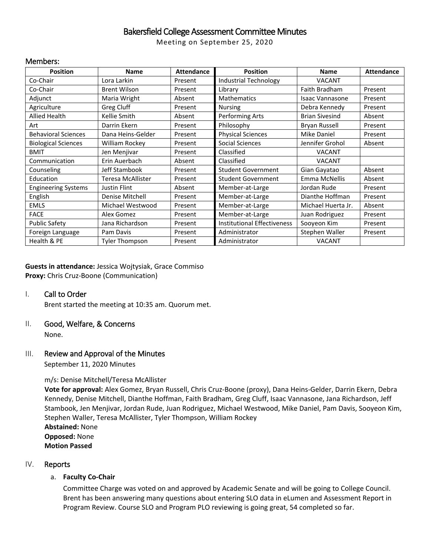# Bakersfield College Assessment Committee Minutes

Meeting on September 25, 2020

#### Members:

| <b>Position</b>            | <b>Name</b>         | <b>Attendance</b> | <b>Position</b>                    | <b>Name</b>            | <b>Attendance</b> |
|----------------------------|---------------------|-------------------|------------------------------------|------------------------|-------------------|
| Co-Chair                   | Lora Larkin         | Present           | <b>Industrial Technology</b>       | <b>VACANT</b>          |                   |
| Co-Chair                   | <b>Brent Wilson</b> | Present           | Library                            | Faith Bradham          | Present           |
| Adjunct                    | Maria Wright        | Absent            | <b>Mathematics</b>                 | <b>Isaac Vannasone</b> | Present           |
| Agriculture                | Greg Cluff          | Present           | <b>Nursing</b>                     | Debra Kennedy          | Present           |
| <b>Allied Health</b>       | Kellie Smith        | Absent            | Performing Arts                    | <b>Brian Sivesind</b>  | Absent            |
| Art                        | Darrin Ekern        | Present           | Philosophy                         | Bryan Russell          | Present           |
| <b>Behavioral Sciences</b> | Dana Heins-Gelder   | Present           | <b>Physical Sciences</b>           | Mike Daniel            | Present           |
| <b>Biological Sciences</b> | William Rockey      | Present           | Social Sciences                    | Jennifer Grohol        | Absent            |
| <b>BMIT</b>                | Jen Menjivar        | Present           | Classified                         | <b>VACANT</b>          |                   |
| Communication              | Erin Auerbach       | Absent            | Classified                         | <b>VACANT</b>          |                   |
| Counseling                 | Jeff Stambook       | Present           | <b>Student Government</b>          | Gian Gayatao           | Absent            |
| Education                  | Teresa McAllister   | Present           | <b>Student Government</b>          | Emma McNellis          | Absent            |
| <b>Engineering Systems</b> | Justin Flint        | Absent            | Member-at-Large                    | Jordan Rude            | Present           |
| English                    | Denise Mitchell     | Present           | Member-at-Large                    | Dianthe Hoffman        | Present           |
| <b>EMLS</b>                | Michael Westwood    | Present           | Member-at-Large                    | Michael Huerta Jr.     | Absent            |
| <b>FACE</b>                | Alex Gomez          | Present           | Member-at-Large                    | Juan Rodriguez         | Present           |
| <b>Public Safety</b>       | Jana Richardson     | Present           | <b>Institutional Effectiveness</b> | Sooyeon Kim            | Present           |
| Foreign Language           | Pam Davis           | Present           | Administrator                      | Stephen Waller         | Present           |
| Health & PE                | Tyler Thompson      | Present           | Administrator                      | <b>VACANT</b>          |                   |

**Guests in attendance:** Jessica Wojtysiak, Grace Commiso **Proxy:** Chris Cruz-Boone (Communication)

#### I. Call to Order

Brent started the meeting at 10:35 am. Quorum met.

#### II. Good, Welfare, & Concerns

None.

### III. Review and Approval of the Minutes

September 11, 2020 Minutes

#### m/s: Denise Mitchell/Teresa McAllister

**Vote for approval:** Alex Gomez, Bryan Russell, Chris Cruz-Boone (proxy), Dana Heins-Gelder, Darrin Ekern, Debra Kennedy, Denise Mitchell, Dianthe Hoffman, Faith Bradham, Greg Cluff, Isaac Vannasone, Jana Richardson, Jeff Stambook, Jen Menjivar, Jordan Rude, Juan Rodriguez, Michael Westwood, Mike Daniel, Pam Davis, Sooyeon Kim, Stephen Waller, Teresa McAllister, Tyler Thompson, William Rockey **Abstained:** None **Opposed:** None **Motion Passed**

#### IV. Reports

#### a. **Faculty Co-Chair**

Committee Charge was voted on and approved by Academic Senate and will be going to College Council. Brent has been answering many questions about entering SLO data in eLumen and Assessment Report in Program Review. Course SLO and Program PLO reviewing is going great, 54 completed so far.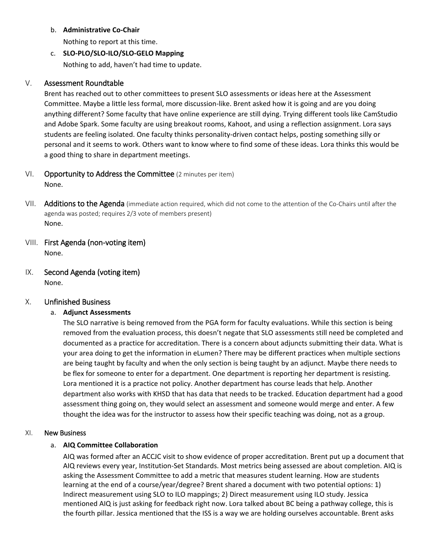#### b. **Administrative Co-Chair**

Nothing to report at this time.

c. **SLO-PLO/SLO-ILO/SLO-GELO Mapping** Nothing to add, haven't had time to update.

## V. Assessment Roundtable

Brent has reached out to other committees to present SLO assessments or ideas here at the Assessment Committee. Maybe a little less formal, more discussion-like. Brent asked how it is going and are you doing anything different? Some faculty that have online experience are still dying. Trying different tools like CamStudio and Adobe Spark. Some faculty are using breakout rooms, Kahoot, and using a reflection assignment. Lora says students are feeling isolated. One faculty thinks personality-driven contact helps, posting something silly or personal and it seems to work. Others want to know where to find some of these ideas. Lora thinks this would be a good thing to share in department meetings.

- VI. Opportunity to Address the Committee (2 minutes per item) None.
- VII. Additions to the Agenda (immediate action required, which did not come to the attention of the Co-Chairs until after the agenda was posted; requires 2/3 vote of members present) None.
- VIII. First Agenda (non-voting item) None.
- IX. Second Agenda (voting item) None.

## X. Unfinished Business

## a. **Adjunct Assessments**

The SLO narrative is being removed from the PGA form for faculty evaluations. While this section is being removed from the evaluation process, this doesn't negate that SLO assessments still need be completed and documented as a practice for accreditation. There is a concern about adjuncts submitting their data. What is your area doing to get the information in eLumen? There may be different practices when multiple sections are being taught by faculty and when the only section is being taught by an adjunct. Maybe there needs to be flex for someone to enter for a department. One department is reporting her department is resisting. Lora mentioned it is a practice not policy. Another department has course leads that help. Another department also works with KHSD that has data that needs to be tracked. Education department had a good assessment thing going on, they would select an assessment and someone would merge and enter. A few thought the idea was for the instructor to assess how their specific teaching was doing, not as a group.

## XI. New Business

## a. **AIQ Committee Collaboration**

AIQ was formed after an ACCJC visit to show evidence of proper accreditation. Brent put up a document that AIQ reviews every year, Institution-Set Standards. Most metrics being assessed are about completion. AIQ is asking the Assessment Committee to add a metric that measures student learning. How are students learning at the end of a course/year/degree? Brent shared a document with two potential options: 1) Indirect measurement using SLO to ILO mappings; 2) Direct measurement using ILO study. Jessica mentioned AIQ is just asking for feedback right now. Lora talked about BC being a pathway college, this is the fourth pillar. Jessica mentioned that the ISS is a way we are holding ourselves accountable. Brent asks